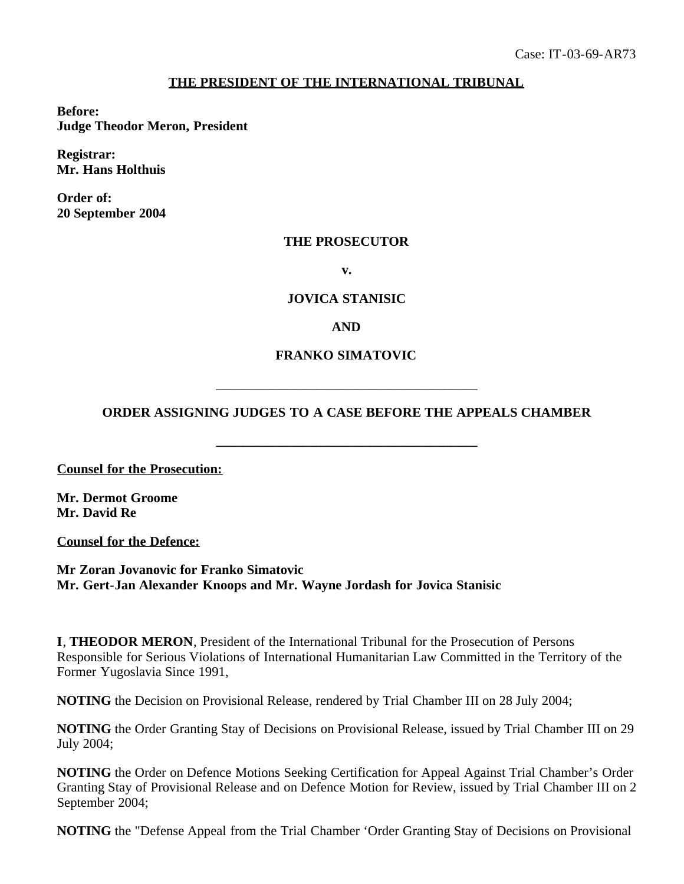# **THE PRESIDENT OF THE INTERNATIONAL TRIBUNAL**

**Before: Judge Theodor Meron, President**

**Registrar: Mr. Hans Holthuis**

**Order of: 20 September 2004**

#### **THE PROSECUTOR**

**v.**

### **JOVICA STANISIC**

**AND**

### **FRANKO SIMATOVIC**

# **ORDER ASSIGNING JUDGES TO A CASE BEFORE THE APPEALS CHAMBER**

**\_\_\_\_\_\_\_\_\_\_\_\_\_\_\_\_\_\_\_\_\_\_\_\_\_\_\_\_\_\_\_\_\_\_\_\_\_\_\_**

\_\_\_\_\_\_\_\_\_\_\_\_\_\_\_\_\_\_\_\_\_\_\_\_\_\_\_\_\_\_\_\_\_\_\_\_\_\_\_

**Counsel for the Prosecution:**

**Mr. Dermot Groome Mr. David Re**

**Counsel for the Defence:**

**Mr Zoran Jovanovic for Franko Simatovic Mr. Gert-Jan Alexander Knoops and Mr. Wayne Jordash for Jovica Stanisic**

**I**, **THEODOR MERON**, President of the International Tribunal for the Prosecution of Persons Responsible for Serious Violations of International Humanitarian Law Committed in the Territory of the Former Yugoslavia Since 1991,

**NOTING** the Decision on Provisional Release, rendered by Trial Chamber III on 28 July 2004;

**NOTING** the Order Granting Stay of Decisions on Provisional Release, issued by Trial Chamber III on 29 July 2004;

**NOTING** the Order on Defence Motions Seeking Certification for Appeal Against Trial Chamber's Order Granting Stay of Provisional Release and on Defence Motion for Review, issued by Trial Chamber III on 2 September 2004;

**NOTING** the "Defense Appeal from the Trial Chamber 'Order Granting Stay of Decisions on Provisional